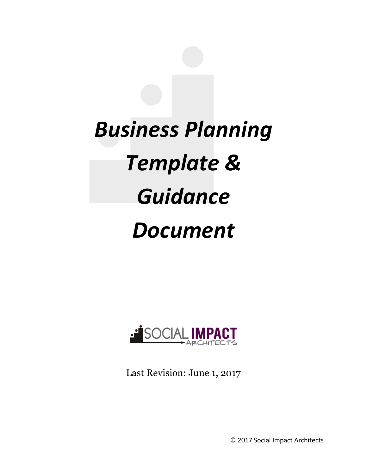# *Business Planning*  **Template &** *Guidance Document*



Last Revision: June 1, 2017

© 2017 Social Impact Architects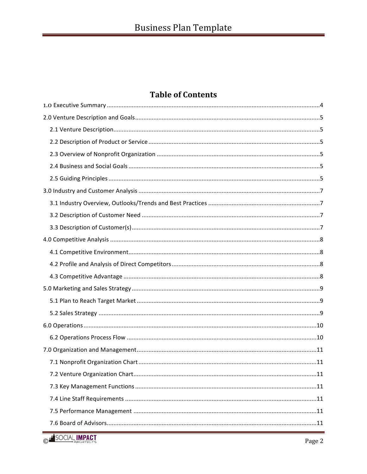# **Table of Contents**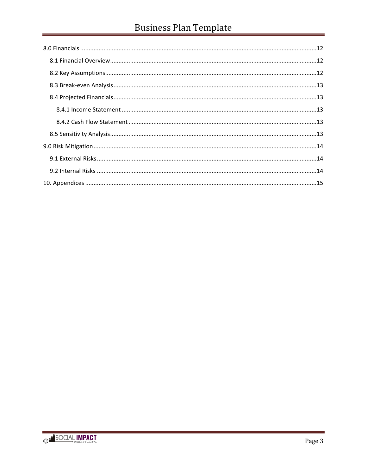# **Business Plan Template**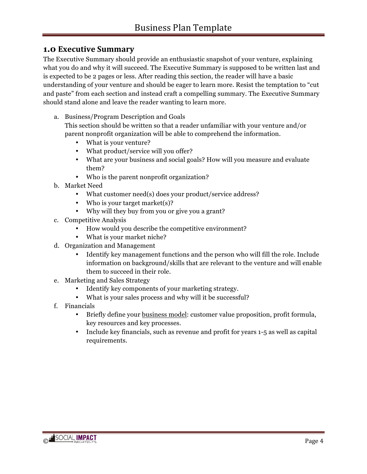# **1.0 Executive Summary**

The Executive Summary should provide an enthusiastic snapshot of your venture, explaining what you do and why it will succeed. The Executive Summary is supposed to be written last and is expected to be 2 pages or less. After reading this section, the reader will have a basic understanding of your venture and should be eager to learn more. Resist the temptation to "cut and paste" from each section and instead craft a compelling summary. The Executive Summary should stand alone and leave the reader wanting to learn more.

a. Business/Program Description and Goals

This section should be written so that a reader unfamiliar with your venture and/or parent nonprofit organization will be able to comprehend the information.

- What is your venture?
- What product/service will you offer?
- What are your business and social goals? How will you measure and evaluate them?
- Who is the parent nonprofit organization?
- b. Market Need
	- What customer need(s) does your product/service address?
	- Who is your target market(s)?
	- Why will they buy from you or give you a grant?
- c. Competitive Analysis
	- How would you describe the competitive environment?
	- What is your market niche?
- d. Organization and Management
	- Identify key management functions and the person who will fill the role. Include information on background/skills that are relevant to the venture and will enable them to succeed in their role.
- e. Marketing and Sales Strategy
	- Identify key components of your marketing strategy.
	- What is your sales process and why will it be successful?
- f. Financials
	- Briefly define your business model: customer value proposition, profit formula, key resources and key processes.
	- Include key financials, such as revenue and profit for years 1-5 as well as capital requirements.

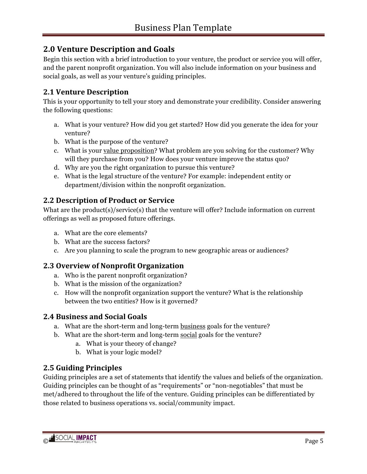# **2.0 Venture Description and Goals**

Begin this section with a brief introduction to your venture, the product or service you will offer, and the parent nonprofit organization. You will also include information on your business and social goals, as well as your venture's guiding principles.

# **2.1 Venture Description**

This is your opportunity to tell your story and demonstrate your credibility. Consider answering the following questions:

- a. What is your venture? How did you get started? How did you generate the idea for your venture?
- b. What is the purpose of the venture?
- c. What is your value proposition? What problem are you solving for the customer? Why will they purchase from you? How does your venture improve the status quo?
- d. Why are you the right organization to pursue this venture?
- e. What is the legal structure of the venture? For example: independent entity or department/division within the nonprofit organization.

# **2.2 Description of Product or Service**

What are the product(s)/service(s) that the venture will offer? Include information on current offerings as well as proposed future offerings.

- a. What are the core elements?
- b. What are the success factors?
- c. Are you planning to scale the program to new geographic areas or audiences?

# **2.3 Overview of Nonprofit Organization**

- a. Who is the parent nonprofit organization?
- b. What is the mission of the organization?
- c. How will the nonprofit organization support the venture? What is the relationship between the two entities? How is it governed?

# **2.4 Business and Social Goals**

- a. What are the short-term and long-term business goals for the venture?
- b. What are the short-term and long-term social goals for the venture?
	- a. What is your theory of change?
	- b. What is your logic model?

# **2.5 Guiding Principles**

Guiding principles are a set of statements that identify the values and beliefs of the organization. Guiding principles can be thought of as "requirements" or "non-negotiables" that must be met/adhered to throughout the life of the venture. Guiding principles can be differentiated by those related to business operations vs. social/community impact.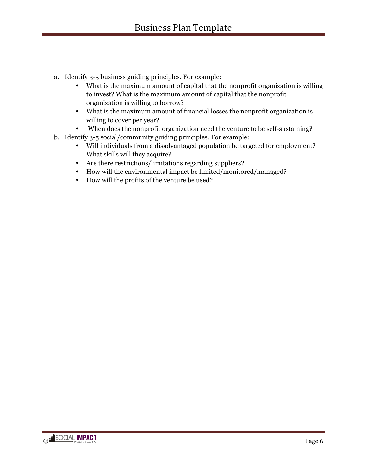- a. Identify 3-5 business guiding principles. For example:
	- What is the maximum amount of capital that the nonprofit organization is willing to invest? What is the maximum amount of capital that the nonprofit organization is willing to borrow?
	- What is the maximum amount of financial losses the nonprofit organization is willing to cover per year?
	- When does the nonprofit organization need the venture to be self-sustaining?
- b. Identify 3-5 social/community guiding principles. For example:
	- Will individuals from a disadvantaged population be targeted for employment? What skills will they acquire?
	- Are there restrictions/limitations regarding suppliers?
	- How will the environmental impact be limited/monitored/managed?
	- How will the profits of the venture be used?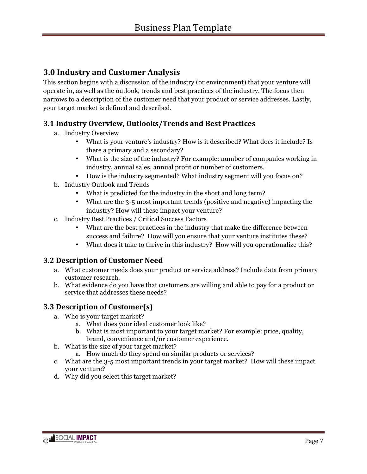# **3.0 Industry and Customer Analysis**

This section begins with a discussion of the industry (or environment) that your venture will operate in, as well as the outlook, trends and best practices of the industry. The focus then narrows to a description of the customer need that your product or service addresses. Lastly, your target market is defined and described.

#### **3.1 Industry Overview, Outlooks/Trends and Best Practices**

- a. Industry Overview
	- What is your venture's industry? How is it described? What does it include? Is there a primary and a secondary?
	- What is the size of the industry? For example: number of companies working in industry, annual sales, annual profit or number of customers.
	- How is the industry segmented? What industry segment will you focus on?
- b. Industry Outlook and Trends
	- What is predicted for the industry in the short and long term?
	- What are the 3-5 most important trends (positive and negative) impacting the industry? How will these impact your venture?
- c. Industry Best Practices / Critical Success Factors
	- What are the best practices in the industry that make the difference between success and failure? How will you ensure that your venture institutes these?
	- What does it take to thrive in this industry? How will you operationalize this?

#### **3.2 Description of Customer Need**

- a. What customer needs does your product or service address? Include data from primary customer research.
- b. What evidence do you have that customers are willing and able to pay for a product or service that addresses these needs?

#### **3.3 Description of Customer(s)**

- a. Who is your target market?
	- a. What does your ideal customer look like?
	- b. What is most important to your target market? For example: price, quality, brand, convenience and/or customer experience.
- b. What is the size of your target market?
	- a. How much do they spend on similar products or services?
- c. What are the 3-5 most important trends in your target market? How will these impact your venture?
- d. Why did you select this target market?

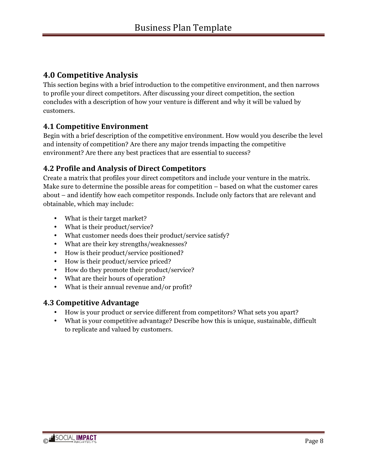# **4.0 Competitive Analysis**

This section begins with a brief introduction to the competitive environment, and then narrows to profile your direct competitors. After discussing your direct competition, the section concludes with a description of how your venture is different and why it will be valued by customers.

#### **4.1 Competitive Environment**

Begin with a brief description of the competitive environment. How would you describe the level and intensity of competition? Are there any major trends impacting the competitive environment? Are there any best practices that are essential to success?

# **4.2 Profile and Analysis of Direct Competitors**

Create a matrix that profiles your direct competitors and include your venture in the matrix. Make sure to determine the possible areas for competition – based on what the customer cares about – and identify how each competitor responds. Include only factors that are relevant and obtainable, which may include:

- What is their target market?
- What is their product/service?
- What customer needs does their product/service satisfy?
- What are their key strengths/weaknesses?
- How is their product/service positioned?
- How is their product/service priced?
- How do they promote their product/service?
- What are their hours of operation?
- What is their annual revenue and/or profit?

#### **4.3 Competitive Advantage**

- How is your product or service different from competitors? What sets you apart?
- What is your competitive advantage? Describe how this is unique, sustainable, difficult to replicate and valued by customers.

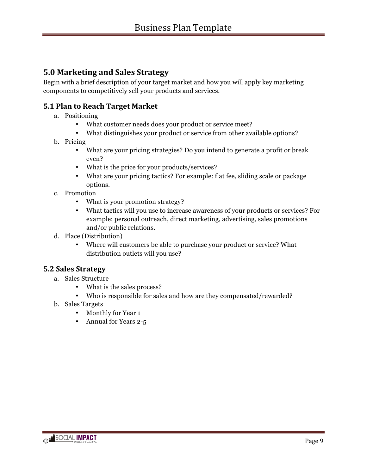# **5.0 Marketing and Sales Strategy**

Begin with a brief description of your target market and how you will apply key marketing components to competitively sell your products and services.

#### **5.1 Plan to Reach Target Market**

- a. Positioning
	- What customer needs does your product or service meet?
	- What distinguishes your product or service from other available options?

#### b. Pricing

- What are your pricing strategies? Do you intend to generate a profit or break even?
- What is the price for your products/services?
- What are your pricing tactics? For example: flat fee, sliding scale or package options.
- c. Promotion
	- What is your promotion strategy?
	- What tactics will you use to increase awareness of your products or services? For example: personal outreach, direct marketing, advertising, sales promotions and/or public relations.
- d. Place (Distribution)
	- Where will customers be able to purchase your product or service? What distribution outlets will you use?

#### **5.2 Sales Strategy**

- a. Sales Structure
	- What is the sales process?
	- Who is responsible for sales and how are they compensated/rewarded?
- b. Sales Targets
	- Monthly for Year 1
	- Annual for Years 2-5

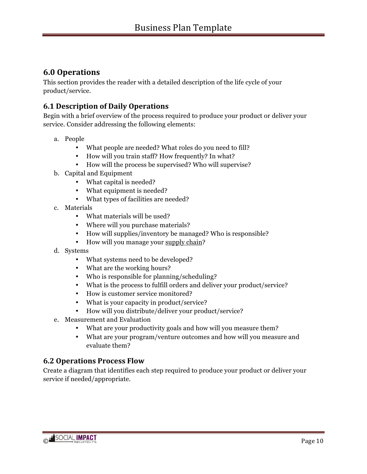# **6.0 Operations**

This section provides the reader with a detailed description of the life cycle of your product/service.

### **6.1 Description of Daily Operations**

Begin with a brief overview of the process required to produce your product or deliver your service. Consider addressing the following elements:

- a. People
	- What people are needed? What roles do you need to fill?
	- How will you train staff? How frequently? In what?
	- How will the process be supervised? Who will supervise?
- b. Capital and Equipment
	- What capital is needed?
	- What equipment is needed?
	- What types of facilities are needed?
- c. Materials
	- What materials will be used?
	- Where will you purchase materials?
	- How will supplies/inventory be managed? Who is responsible?
	- How will you manage your supply chain?
- d. Systems
	- What systems need to be developed?
	- What are the working hours?
	- Who is responsible for planning/scheduling?
	- What is the process to fulfill orders and deliver your product/service?
	- How is customer service monitored?
	- What is your capacity in product/service?
	- How will you distribute/deliver your product/service?
- e. Measurement and Evaluation
	- What are your productivity goals and how will you measure them?
	- What are your program/venture outcomes and how will you measure and evaluate them?

#### **6.2 Operations Process Flow**

Create a diagram that identifies each step required to produce your product or deliver your service if needed/appropriate.

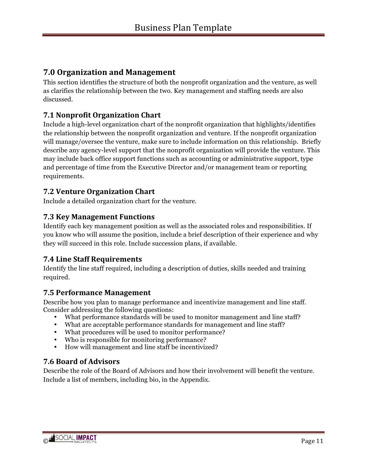# **7.0 Organization and Management**

This section identifies the structure of both the nonprofit organization and the venture, as well as clarifies the relationship between the two. Key management and staffing needs are also discussed.

# **7.1 Nonprofit Organization Chart**

Include a high-level organization chart of the nonprofit organization that highlights/identifies the relationship between the nonprofit organization and venture. If the nonprofit organization will manage/oversee the venture, make sure to include information on this relationship. Briefly describe any agency-level support that the nonprofit organization will provide the venture. This may include back office support functions such as accounting or administrative support, type and percentage of time from the Executive Director and/or management team or reporting requirements.

#### **7.2 Venture Organization Chart**

Include a detailed organization chart for the venture.

#### **7.3 Key Management Functions**

Identify each key management position as well as the associated roles and responsibilities. If you know who will assume the position, include a brief description of their experience and why they will succeed in this role. Include succession plans, if available.

#### **7.4 Line Staff Requirements**

Identify the line staff required, including a description of duties, skills needed and training required.

#### **7.5 Performance Management**

Describe how you plan to manage performance and incentivize management and line staff. Consider addressing the following questions:

- What performance standards will be used to monitor management and line staff?
- What are acceptable performance standards for management and line staff?
- What procedures will be used to monitor performance?
- Who is responsible for monitoring performance?
- How will management and line staff be incentivized?

#### **7.6 Board of Advisors**

Describe the role of the Board of Advisors and how their involvement will benefit the venture. Include a list of members, including bio, in the Appendix.

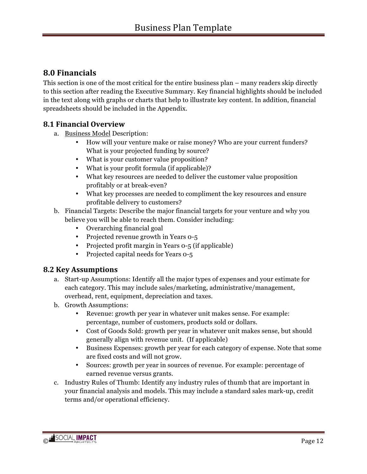# **8.0 Financials**

This section is one of the most critical for the entire business plan – many readers skip directly to this section after reading the Executive Summary. Key financial highlights should be included in the text along with graphs or charts that help to illustrate key content. In addition, financial spreadsheets should be included in the Appendix.

#### **8.1 Financial Overview**

- a. Business Model Description:
	- How will your venture make or raise money? Who are your current funders? What is your projected funding by source?
	- What is your customer value proposition?
	- What is your profit formula (if applicable)?
	- What key resources are needed to deliver the customer value proposition profitably or at break-even?
	- What key processes are needed to compliment the key resources and ensure profitable delivery to customers?
- b. Financial Targets: Describe the major financial targets for your venture and why you believe you will be able to reach them. Consider including:
	- Overarching financial goal
	- Projected revenue growth in Years 0-5
	- Projected profit margin in Years 0-5 (if applicable)
	- Projected capital needs for Years 0-5

#### **8.2 Key Assumptions**

- a. Start-up Assumptions: Identify all the major types of expenses and your estimate for each category. This may include sales/marketing, administrative/management, overhead, rent, equipment, depreciation and taxes.
- b. Growth Assumptions:
	- Revenue: growth per year in whatever unit makes sense. For example: percentage, number of customers, products sold or dollars.
	- Cost of Goods Sold: growth per year in whatever unit makes sense, but should generally align with revenue unit. (If applicable)
	- Business Expenses: growth per year for each category of expense. Note that some are fixed costs and will not grow.
	- Sources: growth per year in sources of revenue. For example: percentage of earned revenue versus grants.
- c. Industry Rules of Thumb: Identify any industry rules of thumb that are important in your financial analysis and models. This may include a standard sales mark-up, credit terms and/or operational efficiency.

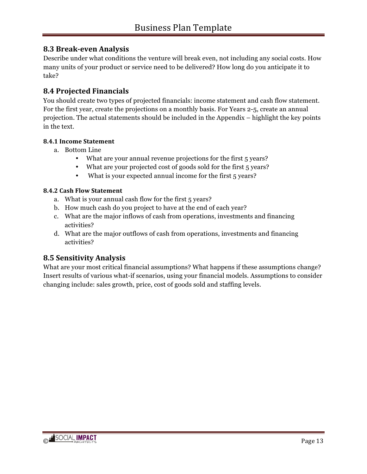#### **8.3 Break-even Analysis**

Describe under what conditions the venture will break even, not including any social costs. How many units of your product or service need to be delivered? How long do you anticipate it to take?

#### **8.4 Projected Financials**

You should create two types of projected financials: income statement and cash flow statement. For the first year, create the projections on a monthly basis. For Years 2-5, create an annual projection. The actual statements should be included in the Appendix – highlight the key points in the text.

#### **8.4.1 Income Statement**

- a. Bottom Line
	- What are your annual revenue projections for the first 5 years?
	- What are your projected cost of goods sold for the first 5 years?
	- What is your expected annual income for the first 5 years?

#### **8.4.2 Cash Flow Statement**

- a. What is your annual cash flow for the first 5 years?
- b. How much cash do you project to have at the end of each year?
- c. What are the major inflows of cash from operations, investments and financing activities?
- d. What are the major outflows of cash from operations, investments and financing activities?

#### **8.5 Sensitivity Analysis**

What are your most critical financial assumptions? What happens if these assumptions change? Insert results of various what-if scenarios, using your financial models. Assumptions to consider changing include: sales growth, price, cost of goods sold and staffing levels.

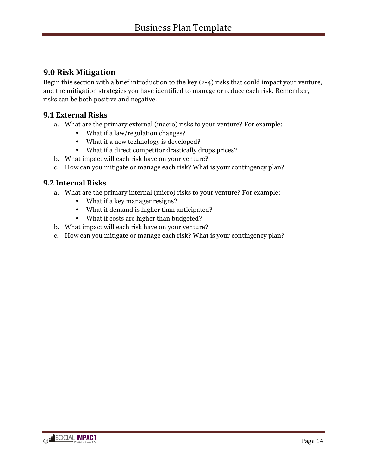# **9.0 Risk Mitigation**

Begin this section with a brief introduction to the key (2-4) risks that could impact your venture, and the mitigation strategies you have identified to manage or reduce each risk. Remember, risks can be both positive and negative.

#### **9.1 External Risks**

- a. What are the primary external (macro) risks to your venture? For example:
	- What if a law/regulation changes?
	- What if a new technology is developed?
	- What if a direct competitor drastically drops prices?
- b. What impact will each risk have on your venture?
- c. How can you mitigate or manage each risk? What is your contingency plan?

#### **9.2 Internal Risks**

- a. What are the primary internal (micro) risks to your venture? For example:
	- What if a key manager resigns?
	- What if demand is higher than anticipated?
	- What if costs are higher than budgeted?
- b. What impact will each risk have on your venture?
- c. How can you mitigate or manage each risk? What is your contingency plan?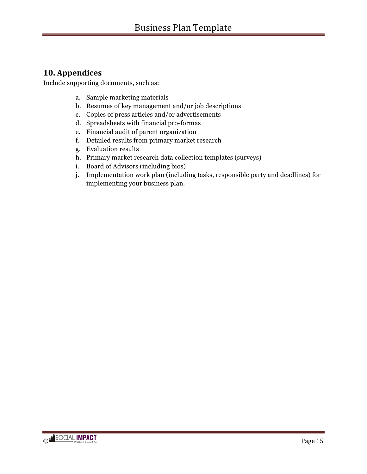# **10. Appendices**

Include supporting documents, such as:

- a. Sample marketing materials
- b. Resumes of key management and/or job descriptions
- c. Copies of press articles and/or advertisements
- d. Spreadsheets with financial pro-formas
- e. Financial audit of parent organization
- f. Detailed results from primary market research
- g. Evaluation results
- h. Primary market research data collection templates (surveys)
- i. Board of Advisors (including bios)
- j. Implementation work plan (including tasks, responsible party and deadlines) for implementing your business plan.